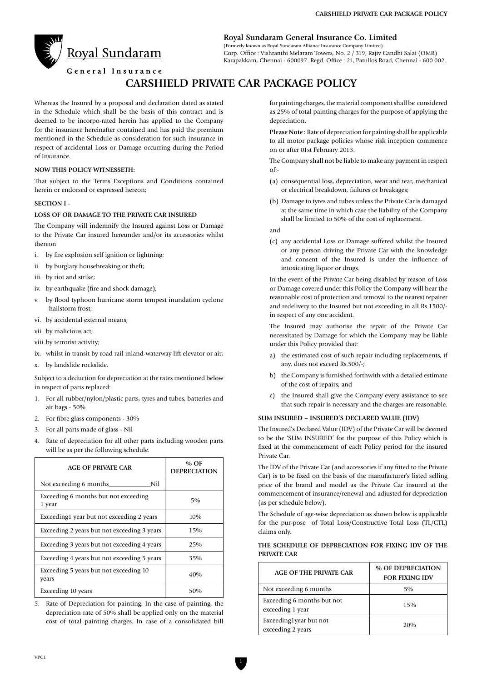

**Royal Sundaram General Insurance Co. Limited**

(Formerly known as Royal Sundaram Alliance Insurance Company Limited) Corp. Office : Vishranthi Melaram Towers, No. 2 / 319, Rajiv Gandhi Salai (OMR) Karapakkam, Chennai - 600097. Regd. Office : 21, Patullos Road, Chennai - 600 002.

General Insurance

# **CARSHIELD PRIVATE CAR PACKAGE POLICY**

Whereas the Insured by a proposal and declaration dated as stated in the Schedule which shall be the basis of this contract and is deemed to be incorpo-rated herein has applied to the Company for the insurance hereinafter contained and has paid the premium mentioned in the Schedule as consideration for such insurance in respect of accidental Loss or Damage occurring during the Period of Insurance.

#### **NOW THIS POLICY WITNESSETH:**

That subject to the Terms Exceptions and Conditions contained herein or endorsed or expressed hereon;

#### **SECTION I -**

#### **LOSS OF OR DAMAGE TO THE PRIVATE CAR INSURED**

The Company will indemnify the Insured against Loss or Damage to the Private Car insured hereunder and/or its accessories whilst thereon

- i. by fire explosion self ignition or lightning;
- ii. by burglary housebreaking or theft;
- iii. by riot and strike;
- iv. by earthquake (fire and shock damage);
- v. by flood typhoon hurricane storm tempest inundation cyclone hailstorm frost;
- vi. by accidental external means;
- vii. by malicious act;
- viii. by terrorist activity;
- ix. whilst in transit by road rail inland-waterway lift elevator or air;
- x. by landslide rockslide.

Subject to a deduction for depreciation at the rates mentioned below in respect of parts replaced:

- 1. For all rubber/nylon/plastic parts, tyres and tubes, batteries and air bags - 50%
- 2. For fibre glass components 30%
- 3. For all parts made of glass Nil
- 4. Rate of depreciation for all other parts including wooden parts will be as per the following schedule.

| <b>AGE OF PRIVATE CAR</b>                       | % OF<br><b>DEPRECIATION</b> |
|-------------------------------------------------|-----------------------------|
| Not exceeding 6 months<br>Nil                   |                             |
| Exceeding 6 months but not exceeding<br>1 year  | 5%                          |
| Exceeding1 year but not exceeding 2 years       | 10%                         |
| Exceeding 2 years but not exceeding 3 years     | 15%                         |
| Exceeding 3 years but not exceeding 4 years     | 25%                         |
| Exceeding 4 years but not exceeding 5 years     | 35%                         |
| Exceeding 5 years but not exceeding 10<br>years | 40%                         |
| Exceeding 10 years                              | 50%                         |

5. Rate of Depreciation for painting: In the case of painting, the depreciation rate of 50% shall be applied only on the material cost of total painting charges. In case of a consolidated bill for painting charges, the material component shall be considered as 25% of total painting charges for the purpose of applying the depreciation.

**Please Note :** Rate of depreciation for painting shall be applicable to all motor package policies whose risk inception commence on or after 01st February 2013.

The Company shall not be liable to make any payment in respect of:-

- (a) consequential loss, depreciation, wear and tear, mechanical or electrical breakdown, failures or breakages;
- (b) Damage to tyres and tubes unless the Private Car is damaged at the same time in which case the liability of the Company shall be limited to 50% of the cost of replacement.

and

(c) any accidental Loss or Damage suffered whilst the Insured or any person driving the Private Car with the knowledge and consent of the Insured is under the influence of intoxicating liquor or drugs.

In the event of the Private Car being disabled by reason of Loss or Damage covered under this Policy the Company will bear the reasonable cost of protection and removal to the nearest repairer and redelivery to the Insured but not exceeding in all Rs.1500/ in respect of any one accident.

The Insured may authorise the repair of the Private Car necessitated by Damage for which the Company may be liable under this Policy provided that:

- a) the estimated cost of such repair including replacements, if any, does not exceed Rs.500/-;
- b) the Company is furnished forthwith with a detailed estimate of the cost of repairs; and
- c) the Insured shall give the Company every assistance to see that such repair is necessary and the charges are reasonable.

#### **SUM INSURED – INSURED'S DECLARED VALUE (IDV)**

The Insured's Declared Value (IDV) of the Private Car will be deemed to be the 'SUM INSURED' for the purpose of this Policy which is fixed at the commencement of each Policy period for the insured Private Car.

The IDV of the Private Car (and accessories if any fitted to the Private Car) is to be fixed on the basis of the manufacturer's listed selling price of the brand and model as the Private Car insured at the commencement of insurance/renewal and adjusted for depreciation (as per schedule below).

The Schedule of age-wise depreciation as shown below is applicable for the pur-pose of Total Loss/Constructive Total Loss (TL/CTL) claims only.

# **THE SCHEDULE OF DEPRECIATION FOR FIXING IDV OF THE PRIVATE CAR**

| <b>AGE OF THE PRIVATE CAR</b>                  | % OF DEPRECIATION<br><b>FOR FIXING IDV</b> |
|------------------------------------------------|--------------------------------------------|
| Not exceeding 6 months                         | $5\%$                                      |
| Exceeding 6 months but not<br>exceeding 1 year | 15%                                        |
| Exceeding1year but not<br>exceeding 2 years    | 20%                                        |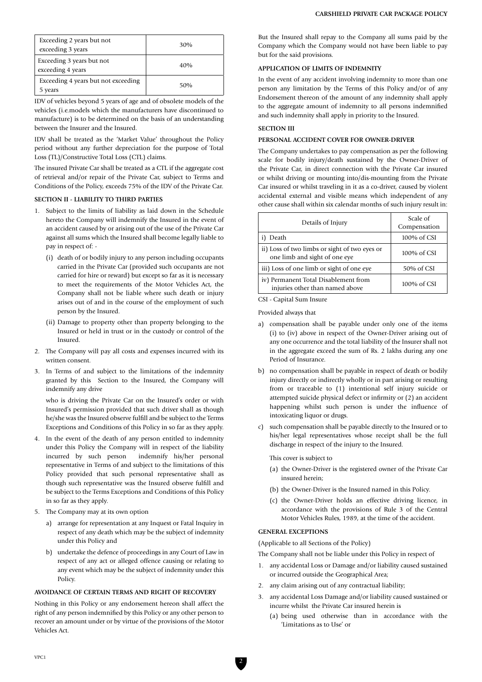| Exceeding 2 years but not<br>exceeding 3 years | 30% |
|------------------------------------------------|-----|
| Exceeding 3 years but not<br>exceeding 4 years | 40% |
| Exceeding 4 years but not exceeding<br>5 years | 50% |

IDV of vehicles beyond 5 years of age and of obsolete models of the vehicles (i.e.models which the manufacturers have discontinued to manufacture) is to be determined on the basis of an understanding between the Insurer and the Insured.

IDV shall be treated as the 'Market Value' throughout the Policy period without any further depreciation for the purpose of Total Loss (TL)/Constructive Total Loss (CTL) claims.

The insured Private Car shall be treated as a CTL if the aggregate cost of retrieval and/or repair of the Private Car, subject to Terms and Conditions of the Policy, exceeds 75% of the IDV of the Private Car.

#### **SECTION II - LIABILITY TO THIRD PARTIES**

- 1. Subject to the limits of liability as laid down in the Schedule hereto the Company will indemnify the Insured in the event of an accident caused by or arising out of the use of the Private Car against all sums which the Insured shall become legally liable to pay in respect of: -
	- (i) death of or bodily injury to any person including occupants carried in the Private Car (provided such occupants are not carried for hire or reward) but except so far as it is necessary to meet the requirements of the Motor Vehicles Act, the Company shall not be liable where such death or injury arises out of and in the course of the employment of such person by the Insured.
	- (ii) Damage to property other than property belonging to the Insured or held in trust or in the custody or control of the Insured.
- 2. The Company will pay all costs and expenses incurred with its written consent.
- 3. In Terms of and subject to the limitations of the indemnity granted by this Section to the Insured, the Company will indemnify any drive

who is driving the Private Car on the Insured's order or with Insured's permission provided that such driver shall as though he/she was the Insured observe fulfill and be subject to the Terms Exceptions and Conditions of this Policy in so far as they apply.

- 4. In the event of the death of any person entitled to indemnity under this Policy the Company will in respect of the liability incurred by such person indemnify his/her personal representative in Terms of and subject to the limitations of this Policy provided that such personal representative shall as though such representative was the Insured observe fulfill and be subject to the Terms Exceptions and Conditions of this Policy in so far as they apply.
- 5. The Company may at its own option
	- a) arrange for representation at any Inquest or Fatal Inquiry in respect of any death which may be the subject of indemnity under this Policy and
	- b) undertake the defence of proceedings in any Court of Law in respect of any act or alleged offence causing or relating to any event which may be the subject of indemnity under this Policy.

## **AVOIDANCE OF CERTAIN TERMS AND RIGHT OF RECOVERY**

Nothing in this Policy or any endorsement hereon shall affect the right of any person indemnified by this Policy or any other person to recover an amount under or by virtue of the provisions of the Motor Vehicles Act.

But the Insured shall repay to the Company all sums paid by the Company which the Company would not have been liable to pay but for the said provisions.

## **APPLICATION OF LIMITS OF INDEMNITY**

In the event of any accident involving indemnity to more than one person any limitation by the Terms of this Policy and/or of any Endorsement thereon of the amount of any indemnity shall apply to the aggregate amount of indemnity to all persons indemnified and such indemnity shall apply in priority to the Insured.

## **SECTION III**

## **PERSONAL ACCIDENT COVER FOR OWNER-DRIVER**

The Company undertakes to pay compensation as per the following scale for bodily injury/death sustained by the Owner-Driver of the Private Car, in direct connection with the Private Car insured or whilst driving or mounting into/dis-mounting from the Private Car insured or whilst traveling in it as a co-driver, caused by violent accidental external and visible means which independent of any other cause shall within six calendar months of such injury result in:

| Details of Injury                                                              | Scale of<br>Compensation |
|--------------------------------------------------------------------------------|--------------------------|
| Death                                                                          | 100% of CSI              |
| ii) Loss of two limbs or sight of two eyes or<br>one limb and sight of one eye | 100% of CSI              |
| iii) Loss of one limb or sight of one eye                                      | 50% of CSI               |
| iv) Permanent Total Disablement from<br>injuries other than named above        | $100\%$ of CSI           |

CSI - Capital Sum Insure

Provided always that

- a) compensation shall be payable under only one of the items (i) to (iv) above in respect of the Owner-Driver arising out of any one occurrence and the total liability of the Insurer shall not in the aggregate exceed the sum of Rs. 2 lakhs during any one Period of Insurance.
- b) no compensation shall be payable in respect of death or bodily injury directly or indirectly wholly or in part arising or resulting from or traceable to (1) intentional self injury suicide or attempted suicide physical defect or infirmity or (2) an accident happening whilst such person is under the influence of intoxicating liquor or drugs.
- c) such compensation shall be payable directly to the Insured or to his/her legal representatives whose receipt shall be the full discharge in respect of the injury to the Insured.

This cover is subject to

- (a) the Owner-Driver is the registered owner of the Private Car insured herein;
- (b) the Owner-Driver is the Insured named in this Policy.
- (c) the Owner-Driver holds an effective driving licence, in accordance with the provisions of Rule 3 of the Central Motor Vehicles Rules, 1989, at the time of the accident.

#### **GENERAL EXCEPTIONS**

(Applicable to all Sections of the Policy)

The Company shall not be liable under this Policy in respect of

- 1. any accidental Loss or Damage and/or liability caused sustained or incurred outside the Geographical Area;
- 2. any claim arising out of any contractual liability;
- 3. any accidental Loss Damage and/or liability caused sustained or incurre whilst the Private Car insured herein is
	- (a) being used otherwise than in accordance with the 'Limitations as to Use' or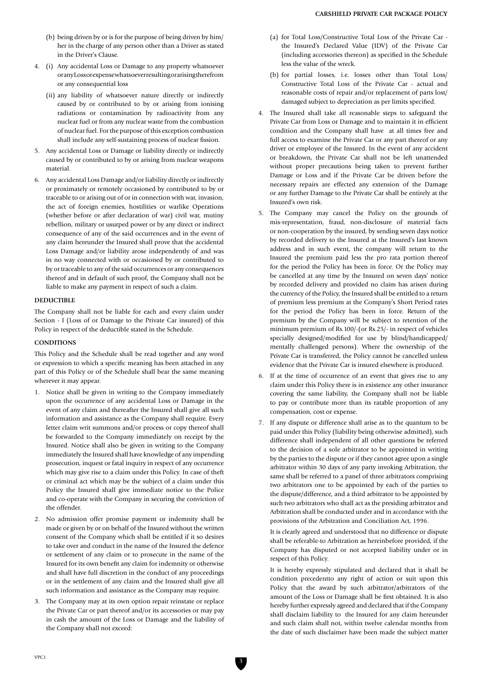- (b) being driven by or is for the purpose of being driven by him/ her in the charge of any person other than a Driver as stated in the Driver's Clause.
- 4. (i) Any accidental Loss or Damage to any property whatsoever or any Loss or expense whatsoever resulting or arising therefrom or any consequential loss
	- (ii) any liability of whatsoever nature directly or indirectly caused by or contributed to by or arising from ionising radiations or contamination by radioactivity from any nuclear fuel or from any nuclear waste from the combustion of nuclear fuel. For the purpose of this exception combustion shall include any self-sustaining process of nuclear fission.
- 5. Any accidental Loss or Damage or liability directly or indirectly caused by or contributed to by or arising from nuclear weapons material.
- 6. Any accidental Loss Damage and/or liability directly or indirectly or proximately or remotely occasioned by contributed to by or traceable to or arising out of or in connection with war, invasion, the act of foreign enemies, hostilities or warlike Operations (whether before or after declaration of war) civil war, mutiny rebellion, military or usurped power or by any direct or indirect consequence of any of the said occurrences and in the event of any claim hereunder the Insured shall prove that the accidental Loss Damage and/or liability arose independently of and was in no way connected with or occasioned by or contributed to by or traceable to any of the said occurrences or any consequences thereof and in default of such proof, the Company shall not be liable to make any payment in respect of such a claim.

## **DEDUCTIBLE**

The Company shall not be liable for each and every claim under Section - I (Loss of or Damage to the Private Car insured) of this Policy in respect of the deductible stated in the Schedule.

#### **CONDITIONS**

This Policy and the Schedule shall be read together and any word or expression to which a specific meaning has been attached in any part of this Policy or of the Schedule shall bear the same meaning wherever it may appear.

- 1. Notice shall be given in writing to the Company immediately upon the occurrence of any accidental Loss or Damage in the event of any claim and thereafter the Insured shall give all such information and assistance as the Company shall require. Every letter claim writ summons and/or process or copy thereof shall be forwarded to the Company immediately on receipt by the Insured. Notice shall also be given in writing to the Company immediately the Insured shall have knowledge of any impending prosecution, inquest or fatal inquiry in respect of any occurrence which may give rise to a claim under this Policy. In case of theft or criminal act which may be the subject of a claim under this Policy the Insured shall give immediate notice to the Police and co-operate with the Company in securing the conviction of the offender.
- 2. No admission offer promise payment or indemnity shall be made or given by or on behalf of the Insured without the written consent of the Company which shall be entitled if it so desires to take over and conduct in the name of the Insured the defence or settlement of any claim or to prosecute in the name of the Insured for its own benefit any claim for indemnity or otherwise and shall have full discretion in the conduct of any proceedings or in the settlement of any claim and the Insured shall give all such information and assistance as the Company may require.
- 3. The Company may at its own option repair reinstate or replace the Private Car or part thereof and/or its accessories or may pay in cash the amount of the Loss or Damage and the liability of the Company shall not exceed:
- (a) for Total Loss/Constructive Total Loss of the Private Car the Insured's Declared Value (IDV) of the Private Car (including accessories thereon) as specified in the Schedule less the value of the wreck.
- (b) for partial losses, i.e. losses other than Total Loss/ Constructive Total Loss of the Private Car - actual and reasonable costs of repair and/or replacement of parts lost/ damaged subject to depreciation as per limits specified.
- 4. The Insured shall take all reasonable steps to safeguard the Private Car from Loss or Damage and to maintain it in efficient condition and the Company shall have at all times free and full access to examine the Private Car or any part thereof or any driver or employee of the Insured. In the event of any accident or breakdown, the Private Car shall not be left unattended without proper precautions being taken to prevent further Damage or Loss and if the Private Car be driven before the necessary repairs are effected any extension of the Damage or any further Damage to the Private Car shall be entirely at the Insured's own risk.
- 5. The Company may cancel the Policy on the grounds of mis-representation, fraud, non-disclosure of material facts or non-cooperation by the insured, by sending seven days notice by recorded delivery to the Insured at the Insured's last known address and in such event, the company will return to the Insured the premium paid less the pro rata portion thereof for the period the Policy has been in force. Or the Policy may be cancelled at any time by the Insured on seven days' notice by recorded delivery and provided no claim has arisen during the currency of the Policy, the Insured shall be entitled to a return of premium less premium at the Company's Short Period rates for the period the Policy has been in force. Return of the premium by the Company will be subject to retention of the minimum premium of Rs.100/-(or Rs.25/- in respect of vehicles specially designed/modified for use by blind/handicapped/ mentally challenged persons). Where the ownership of the Private Car is transferred, the Policy cannot be cancelled unless evidence that the Private Car is insured elsewhere is produced.
- 6. If at the time of occurrence of an event that gives rise to any claim under this Policy there is in existence any other insurance covering the same liability, the Company shall not be liable to pay or contribute more than its ratable proportion of any compensation, cost or expense.
- 7. If any dispute or difference shall arise as to the quantum to be paid under this Policy (liability being otherwise admitted), such difference shall independent of all other questions be referred to the decision of a sole arbitrator to be appointed in writing by the parties to the dispute or if they cannot agree upon a single arbitrator within 30 days of any party invoking Arbitration, the same shall be referred to a panel of three arbitrators comprising two arbitrators one to be appointed by each of the parties to the dispute/difference, and a third arbitrator to be appointed by such two arbitrators who shall act as the presiding arbitrator and Arbitration shall be conducted under and in accordance with the provisions of the Arbitration and Conciliation Act, 1996.

It is clearly agreed and understood that no difference or dispute shall be referable-to Arbitration as hereinbefore provided, if the Company has disputed or not accepted liability under or in respect of this Policy.

It is hereby expressly stipulated and declared that it shall be condition precedentto any right of action or suit upon this Policy that the award by such arbitrator/arbitrators of the amount of the Loss or Damage shall be first obtained. It is also hereby further expressly agreed and declared that if the Company shall disclaim liability to the Insured for any claim hereunder and such claim shall not, within twelve calendar months from the date of such disclaimer have been made the subject matter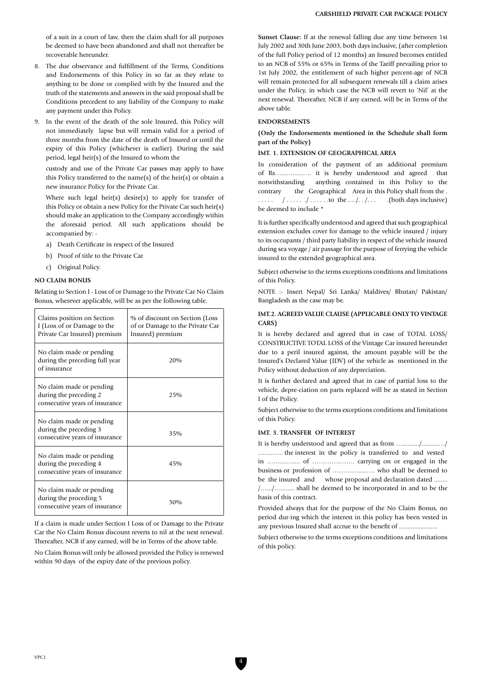- 8. The due observance and fulfillment of the Terms, Conditions and Endorsements of this Policy in so far as they relate to anything to be done or complied with by the Insured and the truth of the statements and answers in the said proposal shall be Conditions precedent to any liability of the Company to make any payment under this Policy.
- 9. In the event of the death of the sole Insured, this Policy will not immediately lapse but will remain valid for a period of three months from the date of the death of Insured or until the expiry of this Policy (whichever is earlier). During the said period, legal heir(s) of the Insured to whom the

custody and use of the Private Car passes may apply to have this Policy transferred to the name(s) of the heir(s) or obtain a new insurance Policy for the Private Car.

Where such legal heir(s) desire(s) to apply for transfer of this Policy or obtain a new Policy for the Private Car such heir(s) should make an application to the Company accordingly within the aforesaid period. All such applications should be accompanied by: -

- a) Death Certificate in respect of the Insured
- b) Proof of title to the Private Car
- c) Original Policy.

#### **NO CLAIM BONUS**

Relating to Section I - Loss of or Damage to the Private Car No Claim Bonus, wherever applicable, will be as per the following table.

| Claims position on Section<br>I (Loss of or Damage to the<br>Private Car Insured) premium | % of discount on Section (Loss)<br>of or Damage to the Private Car<br>Insured) premium |
|-------------------------------------------------------------------------------------------|----------------------------------------------------------------------------------------|
| No claim made or pending<br>during the preceding full year<br>of insurance                | 20%                                                                                    |
| No claim made or pending<br>during the preceding 2<br>consecutive years of insurance      | 25%                                                                                    |
| No claim made or pending<br>during the preceding 3<br>consecutive years of insurance      | 35%                                                                                    |
| No claim made or pending<br>during the preceding 4<br>consecutive years of insurance      | 45%                                                                                    |
| No claim made or pending<br>during the proceding 5<br>consecutive years of insurance      | 50%                                                                                    |

If a claim is made under Section I Loss of or Damage to the Private Car the No Claim Bonus discount reverts to nil at the next renewal. Thereafter, NCB if any earned, will be in Terms of the above table.

No Claim Bonus will only be allowed provided the Policy is renewed within 90 days of the expiry date of the previous policy.

**Sunset Clause:** If at the renewal falling due any time between 1st July 2002 and 30th June 2003, both days inclusive, (after completion of the full Policy period of 12 months) an Insured becomes entitled to an NCB of 55% or 65% in Terms of the Tariff prevailing prior to 1st July 2002, the entitlement of such higher percent-age of NCB will remain protected for all subsequent renewals till a claim arises under the Policy, in which case the NCB will revert to 'Nil' at the next renewal. Thereafter, NCB if any earned, will be in Terms of the above table.

#### **ENDORSEMENTS**

#### **(Only the Endorsements mentioned in the Schedule shall form part of the Policy)**

## **IMT. 1. EXTENSION OF GEOGRAPHICAL AREA**

In consideration of the payment of an additional premium of Rs…....….....…. it is hereby understood and agreed that notwithstanding anything contained in this Policy to the contrary the Geographical Area in this Policy shall from the .  $\ldots$  /  $\ldots$  ... ... to the  $\ldots$ /...... (both days inclusive) be deemed to include \*

It is further specifically understood and agreed that such geographical extension excludes cover for damage to the vehicle insured / injury to its occupants / third party liability in respect of the vehicle insured during sea voyage / air passage for the purpose of ferrying the vehicle insured to the extended geographical area.

Subject otherwise to the terms exceptions conditions and limitations of this Policy.

NOTE :- Insert Nepal/ Sri Lanka/ Maldives/ Bhutan/ Pakistan/ Bangladesh as the case may be.

## **IMT.2. AGREED VALUE CLAUSE (APPLICABLE ONLY TO VINTAGE CARS)**

It is hereby declared and agreed that in case of TOTAL LOSS/ CONSTRUCTIVE TOTAL LOSS of the Vintage Car insured hereunder due to a peril insured against, the amount payable will be the Insured's Declared Value (IDV) of the vehicle as mentioned in the Policy without deduction of any depreciation.

It is further declared and agreed that in case of partial loss to the vehicle, depre-ciation on parts replaced will be as stated in Section I of the Policy.

Subject otherwise to the terms exceptions conditions and limitations of this Policy.

# **IMT. 3. TRANSFER OF INTEREST**

It is hereby understood and agreed that as from …........../..........…/ …......…. the interest in the policy is transferred to and vested in ……....….... of ………….……. carrying on or engaged in the business or profession of ………….....…. who shall be deemed to be the insured and whose proposal and declaration dated ........ /….../…........ shall be deemed to be incorporated in and to be the basis of this contract.

Provided always that for the purpose of the No Claim Bonus, no period dur-ing which the interest in this policy has been vested in any previous Insured shall accrue to the benefit of ............................

Subject otherwise to the terms exceptions conditions and limitations of this policy.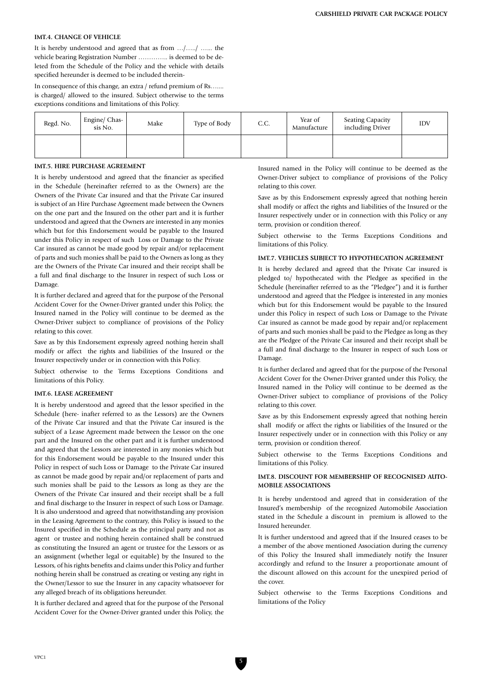#### **IMT.4. CHANGE OF VEHICLE**

It is hereby understood and agreed that as from …/…../ …... the vehicle bearing Registration Number ………….. is deemed to be deleted from the Schedule of the Policy and the vehicle with details specified hereunder is deemed to be included therein-

In consequence of this change, an extra / refund premium of Rs…... is charged/ allowed to the insured. Subject otherwise to the terms exceptions conditions and limitations of this Policy.

| Regd. No. | Engine/ Chas-<br>sis No. | Make | Type of Body | C.C. | Year of<br>Manufacture | <b>Seating Capacity</b><br>including Driver | <b>IDV</b> |
|-----------|--------------------------|------|--------------|------|------------------------|---------------------------------------------|------------|
|           |                          |      |              |      |                        |                                             |            |

#### **IMT.5. HIRE PURCHASE AGREEMENT**

It is hereby understood and agreed that the financier as specified in the Schedule (hereinafter referred to as the Owners) are the Owners of the Private Car insured and that the Private Car insured is subject of an Hire Purchase Agreement made between the Owners on the one part and the Insured on the other part and it is further understood and agreed that the Owners are interested in any monies which but for this Endorsement would be payable to the Insured under this Policy in respect of such Loss or Damage to the Private Car insured as cannot be made good by repair and/or replacement of parts and such monies shall be paid to the Owners as long as they are the Owners of the Private Car insured and their receipt shall be a full and final discharge to the Insurer in respect of such Loss or Damage.

It is further declared and agreed that for the purpose of the Personal Accident Cover for the Owner-Driver granted under this Policy, the Insured named in the Policy will continue to be deemed as the Owner-Driver subject to compliance of provisions of the Policy relating to this cover.

Save as by this Endorsement expressly agreed nothing herein shall modify or affect the rights and liabilities of the Insured or the Insurer respectively under or in connection with this Policy.

Subject otherwise to the Terms Exceptions Conditions and limitations of this Policy.

#### **IMT.6. LEASE AGREEMENT**

It is hereby understood and agreed that the lessor specified in the Schedule (here- inafter referred to as the Lessors) are the Owners of the Private Car insured and that the Private Car insured is the subject of a Lease Agreement made between the Lessor on the one part and the Insured on the other part and it is further understood and agreed that the Lessors are interested in any monies which but for this Endorsement would be payable to the Insured under this Policy in respect of such Loss or Damage to the Private Car insured as cannot be made good by repair and/or replacement of parts and such monies shall be paid to the Lessors as long as they are the Owners of the Private Car insured and their receipt shall be a full and final discharge to the Insurer in respect of such Loss or Damage. It is also understood and agreed that notwithstanding any provision in the Leasing Agreement to the contrary, this Policy is issued to the Insured specified in the Schedule as the principal party and not as agent or trustee and nothing herein contained shall be construed as constituting the Insured an agent or trustee for the Lessors or as an assignment (whether legal or equitable) by the Insured to the Lessors, of his rights benefits and claims under this Policy and further nothing herein shall be construed as creating or vesting any right in the Owner/Lessor to sue the Insurer in any capacity whatsoever for any alleged breach of its obligations hereunder.

It is further declared and agreed that for the purpose of the Personal Accident Cover for the Owner-Driver granted under this Policy, the

Insured named in the Policy will continue to be deemed as the Owner-Driver subject to compliance of provisions of the Policy relating to this cover.

Save as by this Endorsement expressly agreed that nothing herein shall modify or affect the rights and liabilities of the Insured or the Insurer respectively under or in connection with this Policy or any term, provision or condition thereof.

Subject otherwise to the Terms Exceptions Conditions and limitations of this Policy.

#### **IMT.7. VEHICLES SUBJECT TO HYPOTHECATION AGREEMENT**

It is hereby declared and agreed that the Private Car insured is pledged to/ hypothecated with the Pledgee as specified in the Schedule (hereinafter referred to as the "Pledgee") and it is further understood and agreed that the Pledgee is interested in any monies which but for this Endorsement would be payable to the Insured under this Policy in respect of such Loss or Damage to the Private Car insured as cannot be made good by repair and/or replacement of parts and such monies shall be paid to the Pledgee as long as they are the Pledgee of the Private Car insured and their receipt shall be a full and final discharge to the Insurer in respect of such Loss or Damage.

It is further declared and agreed that for the purpose of the Personal Accident Cover for the Owner-Driver granted under this Policy, the Insured named in the Policy will continue to be deemed as the Owner-Driver subject to compliance of provisions of the Policy relating to this cover.

Save as by this Endorsement expressly agreed that nothing herein shall modify or affect the rights or liabilities of the Insured or the Insurer respectively under or in connection with this Policy or any term, provision or condition thereof.

Subject otherwise to the Terms Exceptions Conditions and limitations of this Policy.

#### **IMT.8. DISCOUNT FOR MEMBERSHIP OF RECOGNISED AUTO-MOBILE ASSOCIATIONS**

It is hereby understood and agreed that in consideration of the Insured's membership of the recognized Automobile Association stated in the Schedule a discount in premium is allowed to the Insured hereunder.

It is further understood and agreed that if the Insured ceases to be a member of the above mentioned Association during the currency of this Policy the Insured shall immediately notify the Insurer accordingly and refund to the Insurer a proportionate amount of the discount allowed on this account for the unexpired period of the cover.

Subject otherwise to the Terms Exceptions Conditions and limitations of the Policy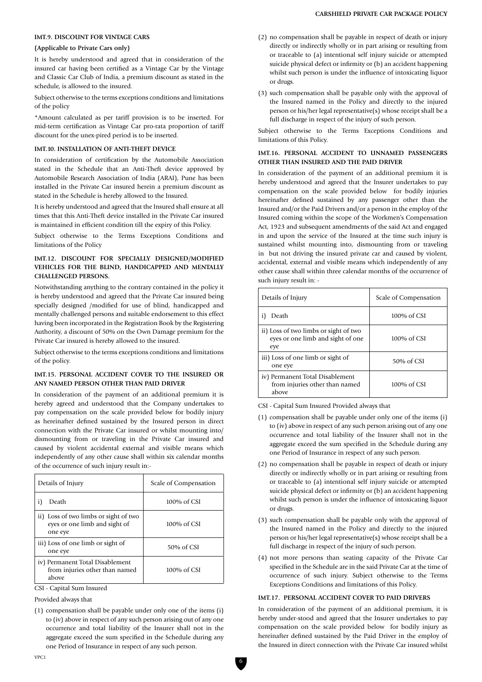## **IMT.9. DISCOUNT FOR VINTAGE CARS**

#### **(Applicable to Private Cars only)**

It is hereby understood and agreed that in consideration of the insured car having been certified as a Vintage Car by the Vintage and Classic Car Club of India, a premium discount as stated in the schedule, is allowed to the insured.

Subject otherwise to the terms exceptions conditions and limitations of the policy

\*Amount calculated as per tariff provision is to be inserted. For mid-term certification as Vintage Car pro-rata proportion of tariff discount for the unex-pired period is to be inserted.

#### **IMT.10. INSTALLATION OF ANTI-THEFT DEVICE**

In consideration of certification by the Automobile Association stated in the Schedule that an Anti-Theft device approved by Automobile Research Association of India (ARAI), Pune has been installed in the Private Car insured herein a premium discount as stated in the Schedule is hereby allowed to the Insured.

It is hereby understood and agreed that the Insured shall ensure at all times that this Anti-Theft device installed in the Private Car insured is maintained in efficient condition till the expiry of this Policy.

Subject otherwise to the Terms Exceptions Conditions and limitations of the Policy

## **IMT.12. DISCOUNT FOR SPECIALLY DESIGNED/MODIFIED VEHICLES FOR THE BLIND, HANDICAPPED AND MENTALLY CHALLENGED PERSONS.**

Notwithstanding anything to the contrary contained in the policy it is hereby understood and agreed that the Private Car insured being specially designed /modified for use of blind, handicapped and mentally challenged persons and suitable endorsement to this effect having been incorporated in the Registration Book by the Registering Authority, a discount of 50% on the Own Damage premium for the Private Car insured is hereby allowed to the insured.

Subject otherwise to the terms exceptions conditions and limitations of the policy.

## **IMT.15. PERSONAL ACCIDENT COVER TO THE INSURED OR ANY NAMED PERSON OTHER THAN PAID DRIVER**

In consideration of the payment of an additional premium it is hereby agreed and understood that the Company undertakes to pay compensation on the scale provided below for bodily injury as hereinafter defined sustained by the Insured person in direct connection with the Private Car insured or whilst mounting into/ dismounting from or traveling in the Private Car insured and caused by violent accidental external and visible means which independently of any other cause shall within six calendar months of the occurrence of such injury result in:-

| Details of Injury                                                                 | Scale of Compensation |
|-----------------------------------------------------------------------------------|-----------------------|
| Death<br>1)                                                                       | 100% of CSI           |
| ii) Loss of two limbs or sight of two<br>eyes or one limb and sight of<br>one eye | 100% of CSI           |
| iii) Loss of one limb or sight of<br>one eye                                      | 50% of CSI            |
| iv) Permanent Total Disablement<br>from injuries other than named<br>above        | 100% of CSI           |

CSI - Capital Sum Insured

Provided always that

(1) compensation shall be payable under only one of the items (i) to (iv) above in respect of any such person arising out of any one occurrence and total liability of the Insurer shall not in the aggregate exceed the sum specified in the Schedule during any one Period of Insurance in respect of any such person.

- (2) no compensation shall be payable in respect of death or injury directly or indirectly wholly or in part arising or resulting from or traceable to (a) intentional self injury suicide or attempted suicide physical defect or infirmity or (b) an accident happening whilst such person is under the influence of intoxicating liquor or drugs.
- (3) such compensation shall be payable only with the approval of the Insured named in the Policy and directly to the injured person or his/her legal representative(s) whose receipt shall be a full discharge in respect of the injury of such person.

Subject otherwise to the Terms Exceptions Conditions and limitations of this Policy.

## **IMT.16. PERSONAL ACCIDENT TO UNNAMED PASSENGERS OTHER THAN INSURED AND THE PAID DRIVER**

In consideration of the payment of an additional premium it is hereby understood and agreed that the Insurer undertakes to pay compensation on the scale provided below for bodily injuries hereinafter defined sustained by any passenger other than the Insured and/or the Paid Drivers and/or a person in the employ of the Insured coming within the scope of the Workmen's Compensation Act, 1923 and subsequent amendments of the said Act and engaged in and upon the service of the Insured at the time such injury is sustained whilst mounting into, dismounting from or traveling in but not driving the insured private car and caused by violent, accidental, external and visible means which independently of any other cause shall within three calendar months of the occurrence of such injury result in: -

| Details of Injury                                                                 | Scale of Compensation |
|-----------------------------------------------------------------------------------|-----------------------|
| Death<br>i)                                                                       | 100% of CSI           |
| ii) Loss of two limbs or sight of two<br>eyes or one limb and sight of one<br>eye | 100% of CSI           |
| iii) Loss of one limb or sight of<br>one eye                                      | 50% of CSI            |
| iv) Permanent Total Disablement<br>from injuries other than named<br>above        | 100% of CSI           |

CSI - Capital Sum Insured Provided always that

- (1) compensation shall be payable under only one of the items (i) to (iv) above in respect of any such person arising out of any one occurrence and total liability of the Insurer shall not in the aggregate exceed the sum specified in the Schedule during any one Period of Insurance in respect of any such person.
- (2) no compensation shall be payable in respect of death or injury directly or indirectly wholly or in part arising or resulting from or traceable to (a) intentional self injury suicide or attempted suicide physical defect or infirmity or (b) an accident happening whilst such person is under the influence of intoxicating liquor or drugs.
- (3) such compensation shall be payable only with the approval of the Insured named in the Policy and directly to the injured person or his/her legal representative(s) whose receipt shall be a full discharge in respect of the injury of such person.
- (4) not more persons than seating capacity of the Private Car specified in the Schedule are in the said Private Car at the time of occurrence of such injury. Subject otherwise to the Terms Exceptions Conditions and limitations of this Policy.

## **IMT.17. PERSONAL ACCIDENT COVER TO PAID DRIVERS**

In consideration of the payment of an additional premium, it is hereby under-stood and agreed that the Insurer undertakes to pay compensation on the scale provided below for bodily injury as hereinafter defined sustained by the Paid Driver in the employ of the Insured in direct connection with the Private Car insured whilst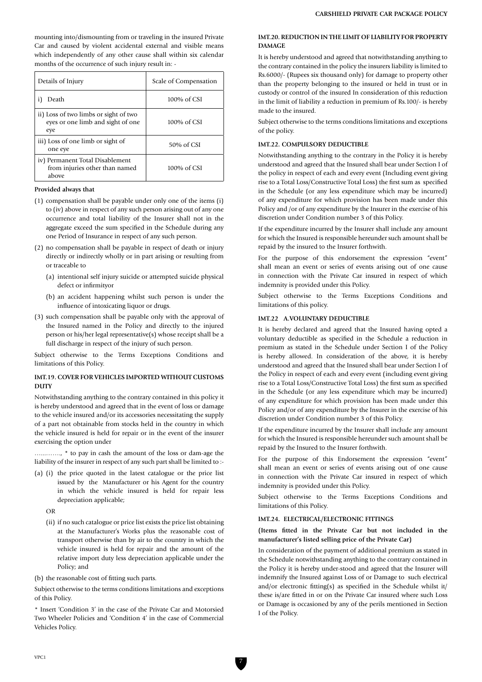mounting into/dismounting from or traveling in the insured Private Car and caused by violent accidental external and visible means which independently of any other cause shall within six calendar months of the occurrence of such injury result in: -

| Details of Injury                                                                 | Scale of Compensation |
|-----------------------------------------------------------------------------------|-----------------------|
| Death                                                                             | $100\%$ of CSI        |
| ii) Loss of two limbs or sight of two<br>eyes or one limb and sight of one<br>eye | 100% of CSI           |
| iii) Loss of one limb or sight of<br>one eye                                      | 50% of CSI            |
| iv) Permanent Total Disablement<br>from injuries other than named<br>above        | $100\%$ of CSI        |

#### **Provided always that**

- (1) compensation shall be payable under only one of the items (i) to (iv) above in respect of any such person arising out of any one occurrence and total liability of the Insurer shall not in the aggregate exceed the sum specified in the Schedule during any one Period of Insurance in respect of any such person.
- (2) no compensation shall be payable in respect of death or injury directly or indirectly wholly or in part arising or resulting from or traceable to
	- (a) intentional self injury suicide or attempted suicide physical defect or infirmityor
	- (b) an accident happening whilst such person is under the influence of intoxicating liquor or drugs.
- (3) such compensation shall be payable only with the approval of the Insured named in the Policy and directly to the injured person or his/her legal representative(s) whose receipt shall be a full discharge in respect of the injury of such person.

Subject otherwise to the Terms Exceptions Conditions and limitations of this Policy.

#### **IMT.19. COVER FOR VEHICLES IMPORTED WITHOUT CUSTOMS DUTY**

Notwithstanding anything to the contrary contained in this policy it is hereby understood and agreed that in the event of loss or damage to the vehicle insured and/or its accessories necessitating the supply of a part not obtainable from stocks held in the country in which the vehicle insured is held for repair or in the event of the insurer exercising the option under

…...……., \* to pay in cash the amount of the loss or dam-age the liability of the insurer in respect of any such part shall be limited to :-

- (a) (i) the price quoted in the latest catalogue or the price list issued by the Manufacturer or his Agent for the country in which the vehicle insured is held for repair less depreciation applicable;
	- OR
	- (ii) if no such catalogue or price list exists the price list obtaining at the Manufacturer's Works plus the reasonable cost of transport otherwise than by air to the country in which the vehicle insured is held for repair and the amount of the relative import duty less depreciation applicable under the Policy; and
- (b) the reasonable cost of fitting such parts.

Subject otherwise to the terms conditions limitations and exceptions of this Policy.

\* Insert 'Condition 3' in the case of the Private Car and Motorsied Two Wheeler Policies and 'Condition 4' in the case of Commercial Vehicles Policy.

## **IMT.20. REDUCTION IN THE LIMIT OF LIABILITY FOR PROPERTY DAMAGE**

It is hereby understood and agreed that notwithstanding anything to the contrary contained in the policy the insurers liability is limited to Rs.6000/- (Rupees six thousand only) for damage to property other than the property belonging to the insured or held in trust or in custody or control of the insured In consideration of this reduction in the limit of liability a reduction in premium of Rs.100/- is hereby made to the insured.

Subject otherwise to the terms conditions limitations and exceptions of the policy.

# **IMT.22. COMPULSORY DEDUCTIBLE**

Notwithstanding anything to the contrary in the Policy it is hereby understood and agreed that the Insured shall bear under Section I of the policy in respect of each and every event (Including event giving rise to a Total Loss/Constructive Total Loss) the first sum as specified in the Schedule (or any less expenditure which may be incurred) of any expenditure for which provision has been made under this Policy and /or of any expenditure by the Insurer in the exercise of his discretion under Condition number 3 of this Policy.

If the expenditure incurred by the Insurer shall include any amount for which the Insured is responsible hereunder such amount shall be repaid by the insured to the Insurer forthwith.

For the purpose of this endorsement the expression "event" shall mean an event or series of events arising out of one cause in connection with the Private Car insured in respect of which indemnity is provided under this Policy.

Subject otherwise to the Terms Exceptions Conditions and limitations of this policy.

#### **IMT.22 A.VOLUNTARY DEDUCTIBLE**

It is hereby declared and agreed that the Insured having opted a voluntary deductible as specified in the Schedule a reduction in premium as stated in the Schedule under Section I of the Policy is hereby allowed. In consideration of the above, it is hereby understood and agreed that the Insured shall bear under Section I of the Policy in respect of each and every event (including event giving rise to a Total Loss/Constructive Total Loss) the first sum as specified in the Schedule (or any less expenditure which may be incurred) of any expenditure for which provision has been made under this Policy and/or of any expenditure by the Insurer in the exercise of his discretion under Condition number 3 of this Policy.

If the expenditure incurred by the Insurer shall include any amount for which the Insured is responsible hereunder such amount shall be repaid by the Insured to the Insurer forthwith.

For the purpose of this Endorsement the expression "event" shall mean an event or series of events arising out of one cause in connection with the Private Car insured in respect of which indemnity is provided under this Policy.

Subject otherwise to the Terms Exceptions Conditions and limitations of this Policy.

#### **IMT.24. ELECTRICAL/ELECTRONIC FITTINGS**

**(Items fitted in the Private Car but not included in the manufacturer's listed selling price of the Private Car)**

In consideration of the payment of additional premium as stated in the Schedule notwithstanding anything to the contrary contained in the Policy it is hereby under-stood and agreed that the Insurer will indemnify the Insured against Loss of or Damage to such electrical and/or electronic fitting(s) as specified in the Schedule whilst it/ these is/are fitted in or on the Private Car insured where such Loss or Damage is occasioned by any of the perils mentioned in Section I of the Policy.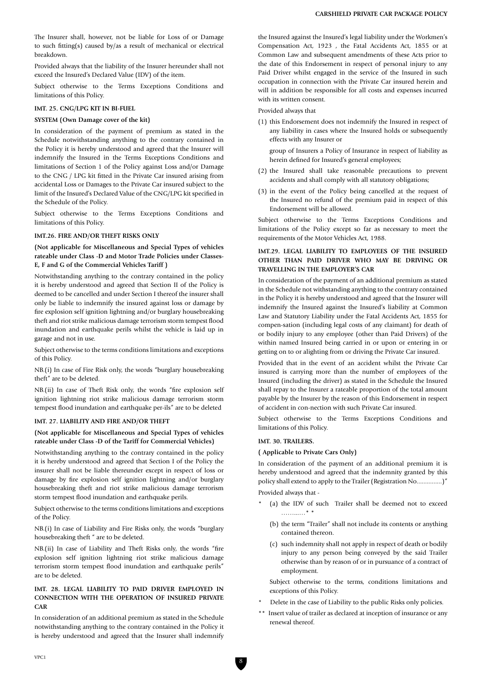The Insurer shall, however, not be liable for Loss of or Damage to such fitting(s) caused by/as a result of mechanical or electrical breakdown.

Provided always that the liability of the Insurer hereunder shall not exceed the Insured's Declared Value (IDV) of the item.

Subject otherwise to the Terms Exceptions Conditions and limitations of this Policy.

#### **IMT. 25. CNG/LPG KIT IN BI-FUEL**

#### **SYSTEM (Own Damage cover of the kit)**

In consideration of the payment of premium as stated in the Schedule notwithstanding anything to the contrary contained in the Policy it is hereby understood and agreed that the Insurer will indemnify the Insured in the Terms Exceptions Conditions and limitations of Section 1 of the Policy against Loss and/or Damage to the CNG / LPG kit fitted in the Private Car insured arising from accidental Loss or Damages to the Private Car insured subject to the limit of the Insured's Declared Value of the CNG/LPG kit specified in the Schedule of the Policy.

Subject otherwise to the Terms Exceptions Conditions and limitations of this Policy.

#### **IMT.26. FIRE AND/OR THEFT RISKS ONLY**

## **(Not applicable for Miscellaneous and Special Types of vehicles rateable under Class -D and Motor Trade Policies under Classes-E, F and G of the Commercial Vehicles Tariff )**

Notwithstanding anything to the contrary contained in the policy it is hereby understood and agreed that Section II of the Policy is deemed to be cancelled and under Section I thereof the insurer shall only be liable to indemnify the insured against loss or damage by fire explosion self ignition lightning and/or burglary housebreaking theft and riot strike malicious damage terrorism storm tempest flood inundation and earthquake perils whilst the vehicle is laid up in garage and not in use.

Subject otherwise to the terms conditions limitations and exceptions of this Policy.

NB.(i) In case of Fire Risk only, the words "burglary housebreaking theft" are to be deleted.

NB.(ii) In case of Theft Risk only, the words "fire explosion self ignition lightning riot strike malicious damage terrorism storm tempest flood inundation and earthquake per-ils" are to be deleted

## **IMT. 27. LIABILITY AND FIRE AND/OR THEFT**

## **(Not applicable for Miscellaneous and Special Types of vehicles rateable under Class -D of the Tariff for Commercial Vehicles)**

Notwithstanding anything to the contrary contained in the policy it is hereby understood and agreed that Section I of the Policy the insurer shall not be liable thereunder except in respect of loss or damage by fire explosion self ignition lightning and/or burglary housebreaking theft and riot strike malicious damage terrorism storm tempest flood inundation and earthquake perils.

Subject otherwise to the terms conditions limitations and exceptions of the Policy.

NB.(i) In case of Liability and Fire Risks only, the words "burglary housebreaking theft " are to be deleted.

NB.(ii) In case of Liability and Theft Risks only, the words "fire explosion self ignition lightning riot strike malicious damage terrorism storm tempest flood inundation and earthquake perils" are to be deleted.

# **IMT. 28. LEGAL LIABILITY TO PAID DRIVER EMPLOYED IN CONNECTION WITH THE OPERATION OF INSURED PRIVATE CAR**

In consideration of an additional premium as stated in the Schedule notwithstanding anything to the contrary contained in the Policy it is hereby understood and agreed that the Insurer shall indemnify the Insured against the Insured's legal liability under the Workmen's Compensation Act, 1923 , the Fatal Accidents Act, 1855 or at Common Law and subsequent amendments of these Acts prior to the date of this Endorsement in respect of personal injury to any Paid Driver whilst engaged in the service of the Insured in such occupation in connection with the Private Car insured herein and will in addition be responsible for all costs and expenses incurred with its written consent.

#### Provided always that

(1) this Endorsement does not indemnify the Insured in respect of any liability in cases where the Insured holds or subsequently effects with any Insurer or

group of Insurers a Policy of Insurance in respect of liability as herein defined for Insured's general employees;

- (2) the Insured shall take reasonable precautions to prevent accidents and shall comply with all statutory obligations;
- (3) in the event of the Policy being cancelled at the request of the Insured no refund of the premium paid in respect of this Endorsement will be allowed.

Subject otherwise to the Terms Exceptions Conditions and limitations of the Policy except so far as necessary to meet the requirements of the Motor Vehicles Act, 1988.

## **IMT.29. LEGAL LIABILITY TO EMPLOYEES OF THE INSURED OTHER THAN PAID DRIVER WHO MAY BE DRIVING OR TRAVELLING IN THE EMPLOYER'S CAR**

In consideration of the payment of an additional premium as stated in the Schedule not withstanding anything to the contrary contained in the Policy it is hereby understood and agreed that the Insurer will indemnify the Insured against the Insured's liability at Common Law and Statutory Liability under the Fatal Accidents Act, 1855 for compen-sation (including legal costs of any claimant) for death of or bodily injury to any employee (other than Paid Drivers) of the within named Insured being carried in or upon or entering in or getting on to or alighting from or driving the Private Car insured.

Provided that in the event of an accident whilst the Private Car insured is carrying more than the number of employees of the Insured (including the driver) as stated in the Schedule the Insured shall repay to the Insurer a rateable proportion of the total amount payable by the Insurer by the reason of this Endorsement in respect of accident in con-nection with such Private Car insured.

Subject otherwise to the Terms Exceptions Conditions and limitations of this Policy.

## **IMT. 30. TRAILERS.**

**( Applicable to Private Cars Only)**

In consideration of the payment of an additional premium it is hereby understood and agreed that the indemnity granted by this policy shall extend to apply to the Trailer (Registration No...............)"

Provided always that -

- (a) the IDV of such Trailer shall be deemed not to exceed ……...…\* \*
	- (b) the term "Trailer" shall not include its contents or anything contained thereon.
	- (c) such indemnity shall not apply in respect of death or bodily injury to any person being conveyed by the said Trailer otherwise than by reason of or in pursuance of a contract of employment.

Subject otherwise to the terms, conditions limitations and exceptions of this Policy.

- Delete in the case of Liability to the public Risks only policies.
- \*\* Insert value of trailer as declared at inception of insurance or any renewal thereof.